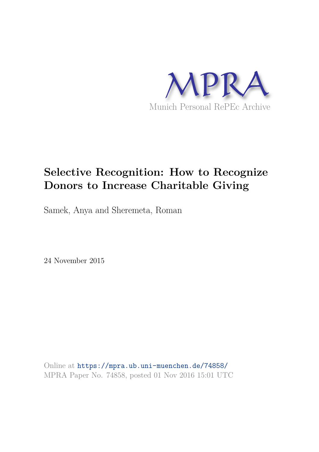

# **Selective Recognition: How to Recognize Donors to Increase Charitable Giving**

Samek, Anya and Sheremeta, Roman

24 November 2015

Online at https://mpra.ub.uni-muenchen.de/74858/ MPRA Paper No. 74858, posted 01 Nov 2016 15:01 UTC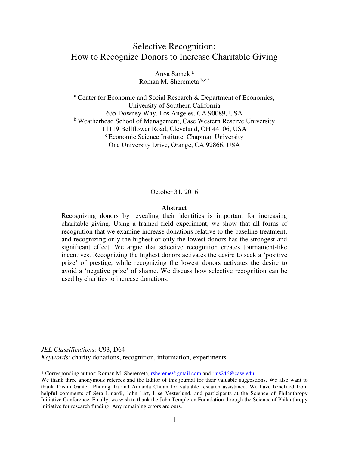# Selective Recognition: How to Recognize Donors to Increase Charitable Giving

Anya Samek<sup>a</sup> Roman M. Sheremeta b,c,\*

<sup>a</sup> Center for Economic and Social Research & Department of Economics, University of Southern California 635 Downey Way, Los Angeles, CA 90089, USA <sup>b</sup> Weatherhead School of Management, Case Western Reserve University 11119 Bellflower Road, Cleveland, OH 44106, USA <sup>c</sup> Economic Science Institute, Chapman University One University Drive, Orange, CA 92866, USA

October 31, 2016

#### **Abstract**

Recognizing donors by revealing their identities is important for increasing charitable giving. Using a framed field experiment, we show that all forms of recognition that we examine increase donations relative to the baseline treatment, and recognizing only the highest or only the lowest donors has the strongest and significant effect. We argue that selective recognition creates tournament-like incentives. Recognizing the highest donors activates the desire to seek a 'positive prize' of prestige, while recognizing the lowest donors activates the desire to avoid a 'negative prize' of shame. We discuss how selective recognition can be used by charities to increase donations.

*JEL Classifications:* C93, D64 *Keywords*: charity donations, recognition, information, experiments

\* Corresponding author: Roman M. Sheremeta[, rshereme@gmail.com](mailto:rshereme@gmail.com) an[d rms246@case.edu](mailto:rms246@case.edu)

We thank three anonymous referees and the Editor of this journal for their valuable suggestions. We also want to thank Tristin Ganter, Phuong Ta and Amanda Chuan for valuable research assistance. We have benefited from helpful comments of Sera Linardi, John List, Lise Vesterlund, and participants at the Science of Philanthropy Initiative Conference. Finally, we wish to thank the John Templeton Foundation through the Science of Philanthropy Initiative for research funding. Any remaining errors are ours.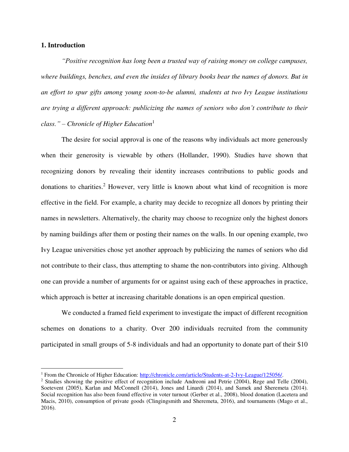#### **1. Introduction**

 $\overline{a}$ 

*"Positive recognition has long been a trusted way of raising money on college campuses, where buildings, benches, and even the insides of library books bear the names of donors. But in an effort to spur gifts among young soon-to-be alumni, students at two Ivy League institutions are trying a different approach: publicizing the names of seniors who don't contribute to their class." – Chronicle of Higher Education*<sup>1</sup>

The desire for social approval is one of the reasons why individuals act more generously when their generosity is viewable by others (Hollander, 1990). Studies have shown that recognizing donors by revealing their identity increases contributions to public goods and donations to charities.<sup>2</sup> However, very little is known about what kind of recognition is more effective in the field. For example, a charity may decide to recognize all donors by printing their names in newsletters. Alternatively, the charity may choose to recognize only the highest donors by naming buildings after them or posting their names on the walls. In our opening example, two Ivy League universities chose yet another approach by publicizing the names of seniors who did not contribute to their class, thus attempting to shame the non-contributors into giving. Although one can provide a number of arguments for or against using each of these approaches in practice, which approach is better at increasing charitable donations is an open empirical question.

We conducted a framed field experiment to investigate the impact of different recognition schemes on donations to a charity. Over 200 individuals recruited from the community participated in small groups of 5-8 individuals and had an opportunity to donate part of their \$10

<sup>&</sup>lt;sup>1</sup> From the Chronicle of Higher Education: [http://chronicle.com/article/Students-at-2-Ivy-League/125056/.](http://chronicle.com/article/Students-at-2-Ivy-League/125056/)

<sup>&</sup>lt;sup>2</sup> Studies showing the positive effect of recognition include Andreoni and Petrie (2004), Rege and Telle (2004), Soetevent (2005), Karlan and McConnell (2014), Jones and Linardi (2014), and Samek and Sheremeta (2014). Social recognition has also been found effective in voter turnout (Gerber et al., 2008), blood donation (Lacetera and Macis, 2010), consumption of private goods (Clingingsmith and Sheremeta, 2016), and tournaments (Mago et al., 2016).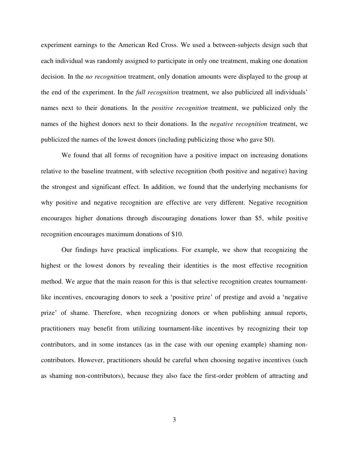experiment earnings to the American Red Cross. We used a between-subjects design such that each individual was randomly assigned to participate in only one treatment, making one donation decision. In the *no recognition* treatment, only donation amounts were displayed to the group at the end of the experiment. In the *full recognition* treatment, we also publicized all individuals' names next to their donations. In the *positive recognition* treatment, we publicized only the names of the highest donors next to their donations. In the *negative recognition* treatment, we publicized the names of the lowest donors (including publicizing those who gave \$0).

We found that all forms of recognition have a positive impact on increasing donations relative to the baseline treatment, with selective recognition (both positive and negative) having the strongest and significant effect. In addition, we found that the underlying mechanisms for why positive and negative recognition are effective are very different. Negative recognition encourages higher donations through discouraging donations lower than \$5, while positive recognition encourages maximum donations of \$10.

Our findings have practical implications. For example, we show that recognizing the highest or the lowest donors by revealing their identities is the most effective recognition method. We argue that the main reason for this is that selective recognition creates tournamentlike incentives, encouraging donors to seek a 'positive prize' of prestige and avoid a 'negative prize' of shame. Therefore, when recognizing donors or when publishing annual reports, practitioners may benefit from utilizing tournament-like incentives by recognizing their top contributors, and in some instances (as in the case with our opening example) shaming noncontributors. However, practitioners should be careful when choosing negative incentives (such as shaming non-contributors), because they also face the first-order problem of attracting and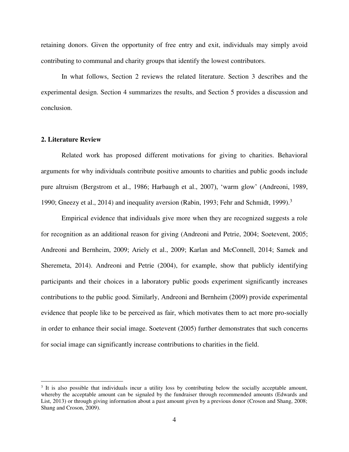retaining donors. Given the opportunity of free entry and exit, individuals may simply avoid contributing to communal and charity groups that identify the lowest contributors.

In what follows, Section 2 reviews the related literature. Section 3 describes and the experimental design. Section 4 summarizes the results, and Section 5 provides a discussion and conclusion.

#### **2. Literature Review**

 $\overline{a}$ 

Related work has proposed different motivations for giving to charities. Behavioral arguments for why individuals contribute positive amounts to charities and public goods include pure altruism (Bergstrom et al., 1986; Harbaugh et al., 2007), 'warm glow' (Andreoni, 1989, 1990; Gneezy et al., 2014) and inequality aversion (Rabin, 1993; Fehr and Schmidt, 1999).<sup>3</sup>

Empirical evidence that individuals give more when they are recognized suggests a role for recognition as an additional reason for giving (Andreoni and Petrie, 2004; Soetevent, 2005; Andreoni and Bernheim, 2009; Ariely et al., 2009; Karlan and McConnell, 2014; Samek and Sheremeta, 2014). Andreoni and Petrie (2004), for example, show that publicly identifying participants and their choices in a laboratory public goods experiment significantly increases contributions to the public good. Similarly, Andreoni and Bernheim (2009) provide experimental evidence that people like to be perceived as fair, which motivates them to act more pro-socially in order to enhance their social image. Soetevent (2005) further demonstrates that such concerns for social image can significantly increase contributions to charities in the field.

<sup>&</sup>lt;sup>3</sup> It is also possible that individuals incur a utility loss by contributing below the socially acceptable amount, whereby the acceptable amount can be signaled by the fundraiser through recommended amounts (Edwards and List, 2013) or through giving information about a past amount given by a previous donor (Croson and Shang, 2008; Shang and Croson, 2009).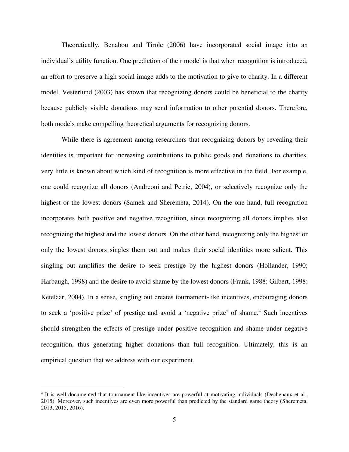Theoretically, Benabou and Tirole (2006) have incorporated social image into an individual's utility function. One prediction of their model is that when recognition is introduced, an effort to preserve a high social image adds to the motivation to give to charity. In a different model, Vesterlund (2003) has shown that recognizing donors could be beneficial to the charity because publicly visible donations may send information to other potential donors. Therefore, both models make compelling theoretical arguments for recognizing donors.

While there is agreement among researchers that recognizing donors by revealing their identities is important for increasing contributions to public goods and donations to charities, very little is known about which kind of recognition is more effective in the field. For example, one could recognize all donors (Andreoni and Petrie, 2004), or selectively recognize only the highest or the lowest donors (Samek and Sheremeta, 2014). On the one hand, full recognition incorporates both positive and negative recognition, since recognizing all donors implies also recognizing the highest and the lowest donors. On the other hand, recognizing only the highest or only the lowest donors singles them out and makes their social identities more salient. This singling out amplifies the desire to seek prestige by the highest donors (Hollander, 1990; Harbaugh, 1998) and the desire to avoid shame by the lowest donors (Frank, 1988; Gilbert, 1998; Ketelaar, 2004). In a sense, singling out creates tournament-like incentives, encouraging donors to seek a 'positive prize' of prestige and avoid a 'negative prize' of shame.<sup>4</sup> Such incentives should strengthen the effects of prestige under positive recognition and shame under negative recognition, thus generating higher donations than full recognition. Ultimately, this is an empirical question that we address with our experiment.

 $\overline{a}$ 

<sup>&</sup>lt;sup>4</sup> It is well documented that tournament-like incentives are powerful at motivating individuals (Dechenaux et al., 2015). Moreover, such incentives are even more powerful than predicted by the standard game theory (Sheremeta, 2013, 2015, 2016).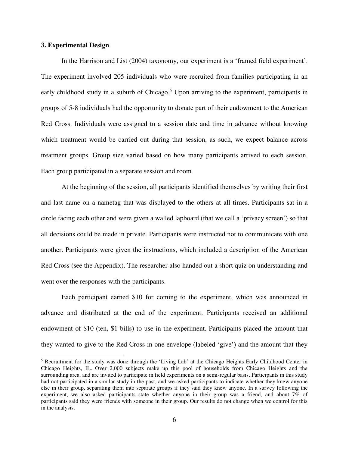### **3. Experimental Design**

 $\overline{a}$ 

In the Harrison and List (2004) taxonomy, our experiment is a 'framed field experiment'. The experiment involved 205 individuals who were recruited from families participating in an early childhood study in a suburb of Chicago.<sup>5</sup> Upon arriving to the experiment, participants in groups of 5-8 individuals had the opportunity to donate part of their endowment to the American Red Cross. Individuals were assigned to a session date and time in advance without knowing which treatment would be carried out during that session, as such, we expect balance across treatment groups. Group size varied based on how many participants arrived to each session. Each group participated in a separate session and room.

At the beginning of the session, all participants identified themselves by writing their first and last name on a nametag that was displayed to the others at all times. Participants sat in a circle facing each other and were given a walled lapboard (that we call a 'privacy screen') so that all decisions could be made in private. Participants were instructed not to communicate with one another. Participants were given the instructions, which included a description of the American Red Cross (see the Appendix). The researcher also handed out a short quiz on understanding and went over the responses with the participants.

Each participant earned \$10 for coming to the experiment, which was announced in advance and distributed at the end of the experiment. Participants received an additional endowment of \$10 (ten, \$1 bills) to use in the experiment. Participants placed the amount that they wanted to give to the Red Cross in one envelope (labeled 'give') and the amount that they

<sup>&</sup>lt;sup>5</sup> Recruitment for the study was done through the 'Living Lab' at the Chicago Heights Early Childhood Center in Chicago Heights, IL. Over 2,000 subjects make up this pool of households from Chicago Heights and the surrounding area, and are invited to participate in field experiments on a semi-regular basis. Participants in this study had not participated in a similar study in the past, and we asked participants to indicate whether they knew anyone else in their group, separating them into separate groups if they said they knew anyone. In a survey following the experiment, we also asked participants state whether anyone in their group was a friend, and about 7% of participants said they were friends with someone in their group. Our results do not change when we control for this in the analysis.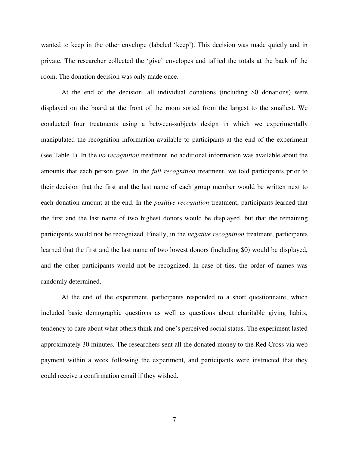wanted to keep in the other envelope (labeled 'keep'). This decision was made quietly and in private. The researcher collected the 'give' envelopes and tallied the totals at the back of the room. The donation decision was only made once.

At the end of the decision, all individual donations (including \$0 donations) were displayed on the board at the front of the room sorted from the largest to the smallest. We conducted four treatments using a between-subjects design in which we experimentally manipulated the recognition information available to participants at the end of the experiment (see Table 1). In the *no recognition* treatment, no additional information was available about the amounts that each person gave. In the *full recognition* treatment, we told participants prior to their decision that the first and the last name of each group member would be written next to each donation amount at the end. In the *positive recognition* treatment, participants learned that the first and the last name of two highest donors would be displayed, but that the remaining participants would not be recognized. Finally, in the *negative recognition* treatment, participants learned that the first and the last name of two lowest donors (including \$0) would be displayed, and the other participants would not be recognized. In case of ties, the order of names was randomly determined.

At the end of the experiment, participants responded to a short questionnaire, which included basic demographic questions as well as questions about charitable giving habits, tendency to care about what others think and one's perceived social status. The experiment lasted approximately 30 minutes. The researchers sent all the donated money to the Red Cross via web payment within a week following the experiment, and participants were instructed that they could receive a confirmation email if they wished.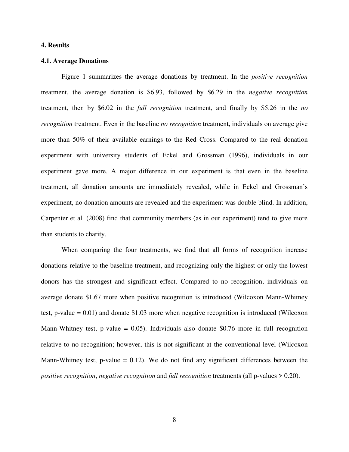#### **4. Results**

#### **4.1. Average Donations**

Figure 1 summarizes the average donations by treatment. In the *positive recognition* treatment, the average donation is \$6.93, followed by \$6.29 in the *negative recognition* treatment, then by \$6.02 in the *full recognition* treatment, and finally by \$5.26 in the *no recognition* treatment. Even in the baseline *no recognition* treatment, individuals on average give more than 50% of their available earnings to the Red Cross. Compared to the real donation experiment with university students of Eckel and Grossman (1996), individuals in our experiment gave more. A major difference in our experiment is that even in the baseline treatment, all donation amounts are immediately revealed, while in Eckel and Grossman's experiment, no donation amounts are revealed and the experiment was double blind. In addition, Carpenter et al. (2008) find that community members (as in our experiment) tend to give more than students to charity.

When comparing the four treatments, we find that all forms of recognition increase donations relative to the baseline treatment, and recognizing only the highest or only the lowest donors has the strongest and significant effect. Compared to no recognition, individuals on average donate \$1.67 more when positive recognition is introduced (Wilcoxon Mann-Whitney test, p-value  $= 0.01$ ) and donate \$1.03 more when negative recognition is introduced (Wilcoxon Mann-Whitney test, p-value =  $0.05$ ). Individuals also donate \$0.76 more in full recognition relative to no recognition; however, this is not significant at the conventional level (Wilcoxon Mann-Whitney test, p-value  $= 0.12$ ). We do not find any significant differences between the *positive recognition*, *negative recognition* and *full recognition* treatments (all p-values > 0.20).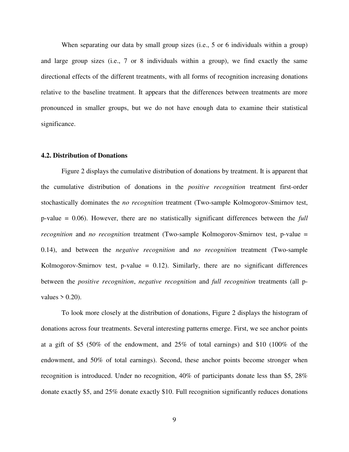When separating our data by small group sizes (i.e., 5 or 6 individuals within a group) and large group sizes (i.e., 7 or 8 individuals within a group), we find exactly the same directional effects of the different treatments, with all forms of recognition increasing donations relative to the baseline treatment. It appears that the differences between treatments are more pronounced in smaller groups, but we do not have enough data to examine their statistical significance.

#### **4.2. Distribution of Donations**

Figure 2 displays the cumulative distribution of donations by treatment. It is apparent that the cumulative distribution of donations in the *positive recognition* treatment first-order stochastically dominates the *no recognition* treatment (Two-sample Kolmogorov-Smirnov test, p-value = 0.06). However, there are no statistically significant differences between the *full recognition* and *no recognition* treatment (Two-sample Kolmogorov-Smirnov test, p-value = 0.14), and between the *negative recognition* and *no recognition* treatment (Two-sample Kolmogorov-Smirnov test, p-value =  $0.12$ ). Similarly, there are no significant differences between the *positive recognition*, *negative recognition* and *full recognition* treatments (all pvalues  $> 0.20$ ).

To look more closely at the distribution of donations, Figure 2 displays the histogram of donations across four treatments. Several interesting patterns emerge. First, we see anchor points at a gift of \$5 (50% of the endowment, and 25% of total earnings) and \$10 (100% of the endowment, and 50% of total earnings). Second, these anchor points become stronger when recognition is introduced. Under no recognition, 40% of participants donate less than \$5, 28% donate exactly \$5, and 25% donate exactly \$10. Full recognition significantly reduces donations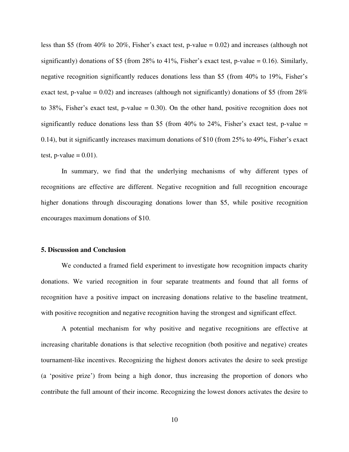less than \$5 (from 40% to 20%, Fisher's exact test, p-value = 0.02) and increases (although not significantly) donations of \$5 (from 28% to 41%, Fisher's exact test, p-value = 0.16). Similarly, negative recognition significantly reduces donations less than \$5 (from 40% to 19%, Fisher's exact test, p-value = 0.02) and increases (although not significantly) donations of \$5 (from  $28\%$ to 38%, Fisher's exact test, p-value  $= 0.30$ ). On the other hand, positive recognition does not significantly reduce donations less than \$5 (from  $40\%$  to  $24\%$ , Fisher's exact test, p-value = 0.14), but it significantly increases maximum donations of \$10 (from 25% to 49%, Fisher's exact test, p-value  $= 0.01$ ).

In summary, we find that the underlying mechanisms of why different types of recognitions are effective are different. Negative recognition and full recognition encourage higher donations through discouraging donations lower than \$5, while positive recognition encourages maximum donations of \$10.

#### **5. Discussion and Conclusion**

We conducted a framed field experiment to investigate how recognition impacts charity donations. We varied recognition in four separate treatments and found that all forms of recognition have a positive impact on increasing donations relative to the baseline treatment, with positive recognition and negative recognition having the strongest and significant effect.

A potential mechanism for why positive and negative recognitions are effective at increasing charitable donations is that selective recognition (both positive and negative) creates tournament-like incentives. Recognizing the highest donors activates the desire to seek prestige (a 'positive prize') from being a high donor, thus increasing the proportion of donors who contribute the full amount of their income. Recognizing the lowest donors activates the desire to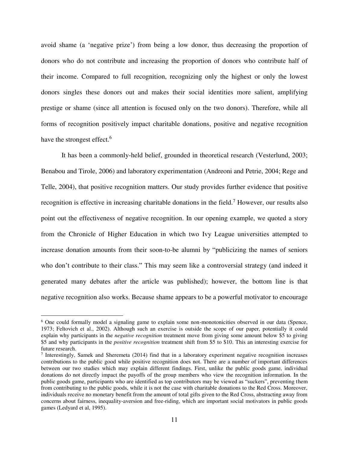avoid shame (a 'negative prize') from being a low donor, thus decreasing the proportion of donors who do not contribute and increasing the proportion of donors who contribute half of their income. Compared to full recognition, recognizing only the highest or only the lowest donors singles these donors out and makes their social identities more salient, amplifying prestige or shame (since all attention is focused only on the two donors). Therefore, while all forms of recognition positively impact charitable donations, positive and negative recognition have the strongest effect.<sup>6</sup>

It has been a commonly-held belief, grounded in theoretical research (Vesterlund, 2003; Benabou and Tirole, 2006) and laboratory experimentation (Andreoni and Petrie, 2004; Rege and Telle, 2004), that positive recognition matters. Our study provides further evidence that positive recognition is effective in increasing charitable donations in the field.<sup>7</sup> However, our results also point out the effectiveness of negative recognition. In our opening example, we quoted a story from the Chronicle of Higher Education in which two Ivy League universities attempted to increase donation amounts from their soon-to-be alumni by "publicizing the names of seniors who don't contribute to their class." This may seem like a controversial strategy (and indeed it generated many debates after the article was published); however, the bottom line is that negative recognition also works. Because shame appears to be a powerful motivator to encourage

 $\overline{a}$ 

<sup>&</sup>lt;sup>6</sup> One could formally model a signaling game to explain some non-monotonicities observed in our data (Spence, 1973; Feltovich et al., 2002). Although such an exercise is outside the scope of our paper, potentially it could explain why participants in the *negative recognition* treatment move from giving some amount below \$5 to giving \$5 and why participants in the *positive recognition* treatment shift from \$5 to \$10. This an interesting exercise for future research.

<sup>&</sup>lt;sup>7</sup> Interestingly, Samek and Sheremeta (2014) find that in a laboratory experiment negative recognition increases contributions to the public good while positive recognition does not. There are a number of important differences between our two studies which may explain different findings. First, unlike the public goods game, individual donations do not directly impact the payoffs of the group members who view the recognition information. In the public goods game, participants who are identified as top contributors may be viewed as "suckers", preventing them from contributing to the public goods, while it is not the case with charitable donations to the Red Cross. Moreover, individuals receive no monetary benefit from the amount of total gifts given to the Red Cross, abstracting away from concerns about fairness, inequality-aversion and free-riding, which are important social motivators in public goods games (Ledyard et al, 1995).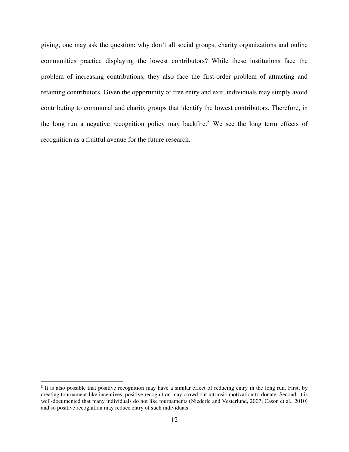giving, one may ask the question: why don't all social groups, charity organizations and online communities practice displaying the lowest contributors? While these institutions face the problem of increasing contributions, they also face the first-order problem of attracting and retaining contributors. Given the opportunity of free entry and exit, individuals may simply avoid contributing to communal and charity groups that identify the lowest contributors. Therefore, in the long run a negative recognition policy may backfire.<sup>8</sup> We see the long term effects of recognition as a fruitful avenue for the future research.

 $\overline{a}$ 

<sup>&</sup>lt;sup>8</sup> It is also possible that positive recognition may have a similar effect of reducing entry in the long run. First, by creating tournament-like incentives, positive recognition may crowd out intrinsic motivation to donate. Second, it is well-documented that many individuals do not like tournaments (Niederle and Vesterlund, 2007; Cason et al., 2010) and so positive recognition may reduce entry of such individuals.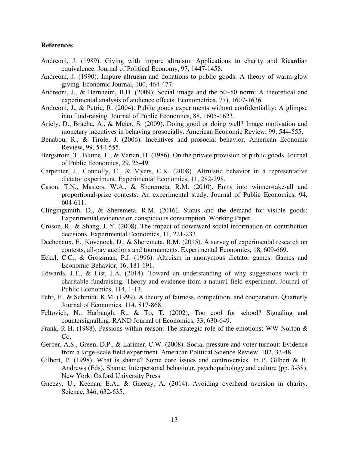## **References**

- Andreoni, J. (1989). Giving with impure altruism: Applications to charity and Ricardian equivalence. Journal of Political Economy, 97, 1447-1458.
- Andreoni, J. (1990). Impure altruism and donations to public goods: A theory of warm-glow giving. Economic Journal, 100, 464-477.
- Andreoni, J., & Bernheim, B.D. (2009). Social image and the 50–50 norm: A theoretical and experimental analysis of audience effects. Econometrica, 77), 1607-1636.
- Andreoni, J., & Petrie, R. (2004). Public goods experiments without confidentiality: A glimpse into fund-raising. Journal of Public Economics, 88, 1605-1623.
- Ariely, D., Bracha, A., & Meier, S. (2009). Doing good or doing well? Image motivation and monetary incentives in behaving prosocially. American Economic Review, 99, 544-555.
- Benabou, R., & Tirole, J. (2006). Incentives and prosocial behavior. American Economic Review, 99, 544-555.
- Bergstrom, T., Blume, L., & Varian, H. (1986). On the private provision of public goods. Journal of Public Economics, 29, 25-49.
- Carpenter, J., Connolly, C., & Myers, C.K. (2008). Altruistic behavior in a representative dictator experiment. Experimental Economics, 11, 282-298.
- Cason, T.N., Masters, W.A., & Sheremeta, R.M. (2010). Entry into winner-take-all and proportional-prize contests: An experimental study. Journal of Public Economics, 94, 604-611.
- Clingingsmith, D., & Sheremeta, R.M. (2016). Status and the demand for visible goods: Experimental evidence on conspicuous consumption. Working Paper.
- Croson, R., & Shang, J. Y. (2008). The impact of downward social information on contribution decisions. Experimental Economics, 11, 221-233.
- Dechenaux, E., Kovenock, D., & Sheremeta, R.M. (2015). A survey of experimental research on contests, all-pay auctions and tournaments. Experimental Economics, 18, 609-669.
- Eckel, C.C., & Grossman, P.J. (1996). Altruism in anonymous dictator games. Games and Economic Behavior, 16, 181-191.
- Edwards, J.T., & List, J.A. (2014). Toward an understanding of why suggestions work in charitable fundraising: Theory and evidence from a natural field experiment. Journal of Public Economics, 114, 1-13.
- Fehr, E., & Schmidt, K.M. (1999). A theory of fairness, competition, and cooperation. Quarterly Journal of Economics, 114, 817-868.
- Feltovich, N., Harbaugh, R., & To, T. (2002), Too cool for school? Signaling and countersignalling. RAND Journal of Economics, 33, 630-649.
- Frank, R H. (1988). Passions within reason: The strategic role of the emotions: WW Norton & Co.
- Gerber, A.S., Green, D.P., & Larimer, C.W. (2008). Social pressure and voter turnout: Evidence from a large-scale field experiment. American Political Science Review, 102, 33-48.
- Gilbert, P. (1998). What is shame? Some core issues and controversies. In P. Gilbert & B. Andrews (Eds), Shame: Interpersonal behaviour, psychopathology and culture (pp. 3-38). New York: Oxford University Press.
- Gneezy, U., Keenan, E.A., & Gneezy, A. (2014). Avoiding overhead aversion in charity. Science, 346, 632-635.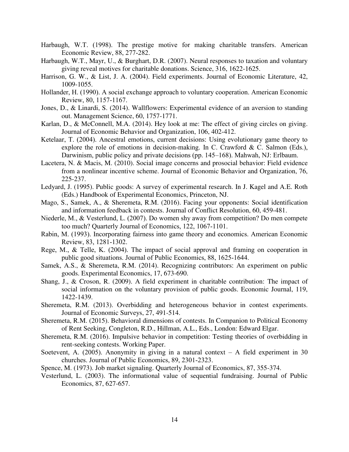- Harbaugh, W.T. (1998). The prestige motive for making charitable transfers. American Economic Review, 88, 277-282.
- Harbaugh, W.T., Mayr, U., & Burghart, D.R. (2007). Neural responses to taxation and voluntary giving reveal motives for charitable donations. Science, 316, 1622-1625.
- Harrison, G. W., & List, J. A. (2004). Field experiments. Journal of Economic Literature, 42, 1009-1055.
- Hollander, H. (1990). A social exchange approach to voluntary cooperation. American Economic Review, 80, 1157-1167.
- Jones, D., & Linardi, S. (2014). Wallflowers: Experimental evidence of an aversion to standing out. Management Science, 60, 1757-1771.
- Karlan, D., & McConnell, M.A. (2014). Hey look at me: The effect of giving circles on giving. Journal of Economic Behavior and Organization, 106, 402-412.
- Ketelaar, T. (2004). Ancestral emotions, current decisions: Using evolutionary game theory to explore the role of emotions in decision-making. In C. Crawford  $\& C$ . Salmon (Eds.), Darwinism, public policy and private decisions (pp. 145–168). Mahwah, NJ: Erlbaum.
- Lacetera, N. & Macis, M. (2010). Social image concerns and prosocial behavior: Field evidence from a nonlinear incentive scheme. Journal of Economic Behavior and Organization, 76, 225-237.
- Ledyard, J. (1995). Public goods: A survey of experimental research. In J. Kagel and A.E. Roth (Eds.) Handbook of Experimental Economics, Princeton, NJ.
- Mago, S., Samek, A., & Sheremeta, R.M. (2016). Facing your opponents: Social identification and information feedback in contests. Journal of Conflict Resolution, 60, 459-481.
- Niederle, M., & Vesterlund, L. (2007). Do women shy away from competition? Do men compete too much? Quarterly Journal of Economics, 122, 1067-1101.
- Rabin, M. (1993). Incorporating fairness into game theory and economics. American Economic Review, 83, 1281-1302.
- Rege, M., & Telle, K. (2004). The impact of social approval and framing on cooperation in public good situations. Journal of Public Economics, 88, 1625-1644.
- Samek, A.S., & Sheremeta, R.M. (2014). Recognizing contributors: An experiment on public goods. Experimental Economics, 17, 673-690.
- Shang, J., & Croson, R. (2009). A field experiment in charitable contribution: The impact of social information on the voluntary provision of public goods. Economic Journal, 119, 1422-1439.
- Sheremeta, R.M. (2013). Overbidding and heterogeneous behavior in contest experiments. Journal of Economic Surveys, 27, 491-514.
- Sheremeta, R.M. (2015). Behavioral dimensions of contests. In Companion to Political Economy of Rent Seeking, Congleton, R.D., Hillman, A.L., Eds., London: Edward Elgar.
- Sheremeta, R.M. (2016). Impulsive behavior in competition: Testing theories of overbidding in rent-seeking contests. Working Paper.
- Soetevent, A. (2005). Anonymity in giving in a natural context A field experiment in 30 churches. Journal of Public Economics, 89, 2301-2323.
- Spence, M. (1973). Job market signaling. Quarterly Journal of Economics, 87, 355-374.
- Vesterlund, L. (2003). The informational value of sequential fundraising. Journal of Public Economics, 87, 627-657.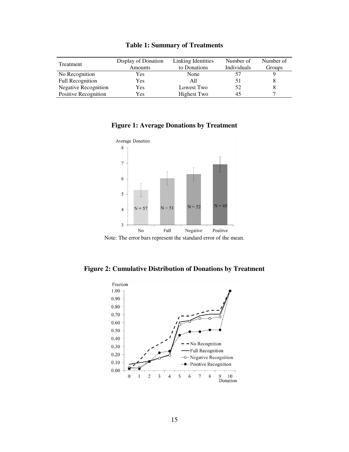| Treatment                   | Display of Donation | Linking Identities | Number of   | Number of |
|-----------------------------|---------------------|--------------------|-------------|-----------|
|                             | Amounts             | to Donations       | Individuals | Groups    |
| No Recognition              | Yes                 | None               |             |           |
| <b>Full Recognition</b>     | Yes                 | A11                | 51          |           |
| <b>Negative Recognition</b> | Yes                 | Lowest Two         | 52          |           |
| Positive Recognition        | Yes                 | Highest Two        | 45          |           |

# **Table 1: Summary of Treatments**





Note: The error bars represent the standard error of the mean.

**Figure 2: Cumulative Distribution of Donations by Treatment** 

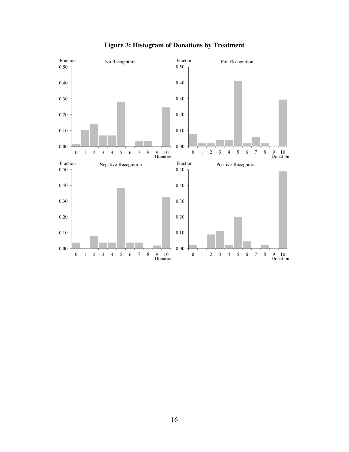

**Figure 3: Histogram of Donations by Treatment**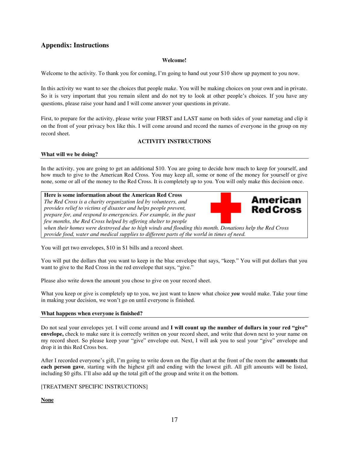# **Appendix: Instructions**

#### **Welcome!**

Welcome to the activity. To thank you for coming, I'm going to hand out your \$10 show up payment to you now.

In this activity we want to see the choices that people make. You will be making choices on your own and in private. So it is very important that you remain silent and do not try to look at other people's choices. If you have any questions, please raise your hand and I will come answer your questions in private.

First, to prepare for the activity, please write your FIRST and LAST name on both sides of your nametag and clip it on the front of your privacy box like this. I will come around and record the names of everyone in the group on my record sheet.

#### **ACTIVITY INSTRUCTIONS**

#### **What will we be doing?**

In the activity, you are going to get an additional \$10. You are going to decide how much to keep for yourself, and how much to give to the American Red Cross. You may keep all, some or none of the money for yourself or give none, some or all of the money to the Red Cross. It is completely up to you. You will only make this decision once.

#### **Here is some information about the American Red Cross**

*The Red Cross is a charity organization led by volunteers, and provides relief to victims of disaster and helps people prevent, prepare for, and respond to emergencies. For example, in the past few months, the Red Cross helped by offering shelter to people* 



*when their homes were destroyed due to high winds and flooding this month. Donations help the Red Cross provide food, water and medical supplies to different parts of the world in times of need.* 

You will get two envelopes, \$10 in \$1 bills and a record sheet.

You will put the dollars that you want to keep in the blue envelope that says, "keep." You will put dollars that you want to give to the Red Cross in the red envelope that says, "give."

Please also write down the amount you chose to give on your record sheet.

What you keep or give is completely up to you, we just want to know what choice *you* would make. Take your time in making your decision, we won't go on until everyone is finished.

#### **What happens when everyone is finished?**

Do not seal your envelopes yet. I will come around and **I will count up the number of dollars in your red "give" envelope,** check to make sure it is correctly written on your record sheet, and write that down next to your name on my record sheet. So please keep your "give" envelope out. Next, I will ask you to seal your "give" envelope and drop it in this Red Cross box.

After I recorded everyone's gift, I'm going to write down on the flip chart at the front of the room the **amounts** that **each person gave**, starting with the highest gift and ending with the lowest gift. All gift amounts will be listed, including \$0 gifts. I'll also add up the total gift of the group and write it on the bottom.

#### [TREATMENT SPECIFIC INSTRUCTIONS]

**None**